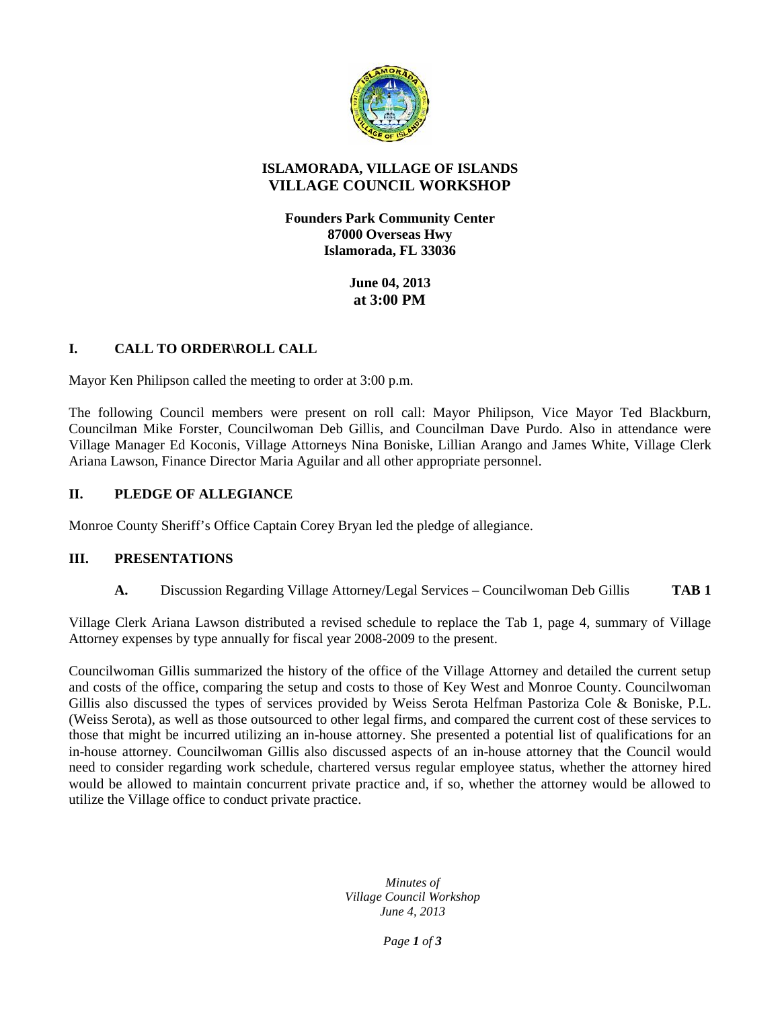

# **ISLAMORADA, VILLAGE OF ISLANDS VILLAGE COUNCIL WORKSHOP**

**Founders Park Community Center 87000 Overseas Hwy Islamorada, FL 33036**

> **June 04, 2013 at 3:00 PM**

# **I. CALL TO ORDER\ROLL CALL**

Mayor Ken Philipson called the meeting to order at 3:00 p.m.

The following Council members were present on roll call: Mayor Philipson, Vice Mayor Ted Blackburn, Councilman Mike Forster, Councilwoman Deb Gillis, and Councilman Dave Purdo. Also in attendance were Village Manager Ed Koconis, Village Attorneys Nina Boniske, Lillian Arango and James White, Village Clerk Ariana Lawson, Finance Director Maria Aguilar and all other appropriate personnel.

# **II. PLEDGE OF ALLEGIANCE**

Monroe County Sheriff's Office Captain Corey Bryan led the pledge of allegiance.

### **III. PRESENTATIONS**

**A.** Discussion Regarding Village Attorney/Legal Services – Councilwoman Deb Gillis **TAB 1**

Village Clerk Ariana Lawson distributed a revised schedule to replace the Tab 1, page 4, summary of Village Attorney expenses by type annually for fiscal year 2008-2009 to the present.

Councilwoman Gillis summarized the history of the office of the Village Attorney and detailed the current setup and costs of the office, comparing the setup and costs to those of Key West and Monroe County. Councilwoman Gillis also discussed the types of services provided by Weiss Serota Helfman Pastoriza Cole & Boniske, P.L. (Weiss Serota), as well as those outsourced to other legal firms, and compared the current cost of these services to those that might be incurred utilizing an in-house attorney. She presented a potential list of qualifications for an in-house attorney. Councilwoman Gillis also discussed aspects of an in-house attorney that the Council would need to consider regarding work schedule, chartered versus regular employee status, whether the attorney hired would be allowed to maintain concurrent private practice and, if so, whether the attorney would be allowed to utilize the Village office to conduct private practice.

> *Minutes of Village Council Workshop June 4, 2013*

> > *Page 1 of 3*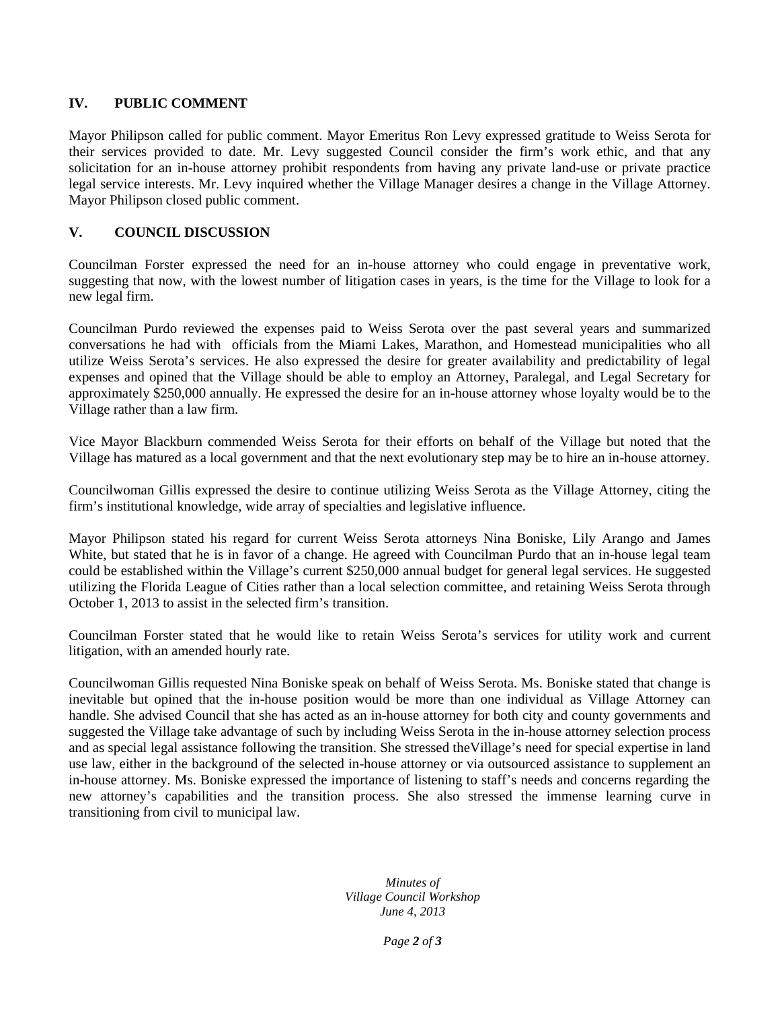### **IV. PUBLIC COMMENT**

Mayor Philipson called for public comment. Mayor Emeritus Ron Levy expressed gratitude to Weiss Serota for their services provided to date. Mr. Levy suggested Council consider the firm's work ethic, and that any solicitation for an in-house attorney prohibit respondents from having any private land-use or private practice legal service interests. Mr. Levy inquired whether the Village Manager desires a change in the Village Attorney. Mayor Philipson closed public comment.

## **V. COUNCIL DISCUSSION**

Councilman Forster expressed the need for an in-house attorney who could engage in preventative work, suggesting that now, with the lowest number of litigation cases in years, is the time for the Village to look for a new legal firm.

Councilman Purdo reviewed the expenses paid to Weiss Serota over the past several years and summarized conversations he had with officials from the Miami Lakes, Marathon, and Homestead municipalities who all utilize Weiss Serota's services. He also expressed the desire for greater availability and predictability of legal expenses and opined that the Village should be able to employ an Attorney, Paralegal, and Legal Secretary for approximately \$250,000 annually. He expressed the desire for an in-house attorney whose loyalty would be to the Village rather than a law firm.

Vice Mayor Blackburn commended Weiss Serota for their efforts on behalf of the Village but noted that the Village has matured as a local government and that the next evolutionary step may be to hire an in-house attorney.

Councilwoman Gillis expressed the desire to continue utilizing Weiss Serota as the Village Attorney, citing the firm's institutional knowledge, wide array of specialties and legislative influence.

Mayor Philipson stated his regard for current Weiss Serota attorneys Nina Boniske, Lily Arango and James White, but stated that he is in favor of a change. He agreed with Councilman Purdo that an in-house legal team could be established within the Village's current \$250,000 annual budget for general legal services. He suggested utilizing the Florida League of Cities rather than a local selection committee, and retaining Weiss Serota through October 1, 2013 to assist in the selected firm's transition.

Councilman Forster stated that he would like to retain Weiss Serota's services for utility work and current litigation, with an amended hourly rate.

Councilwoman Gillis requested Nina Boniske speak on behalf of Weiss Serota. Ms. Boniske stated that change is inevitable but opined that the in-house position would be more than one individual as Village Attorney can handle. She advised Council that she has acted as an in-house attorney for both city and county governments and suggested the Village take advantage of such by including Weiss Serota in the in-house attorney selection process and as special legal assistance following the transition. She stressed theVillage's need for special expertise in land use law, either in the background of the selected in-house attorney or via outsourced assistance to supplement an in-house attorney. Ms. Boniske expressed the importance of listening to staff's needs and concerns regarding the new attorney's capabilities and the transition process. She also stressed the immense learning curve in transitioning from civil to municipal law.

> *Minutes of Village Council Workshop June 4, 2013*

> > *Page 2 of 3*